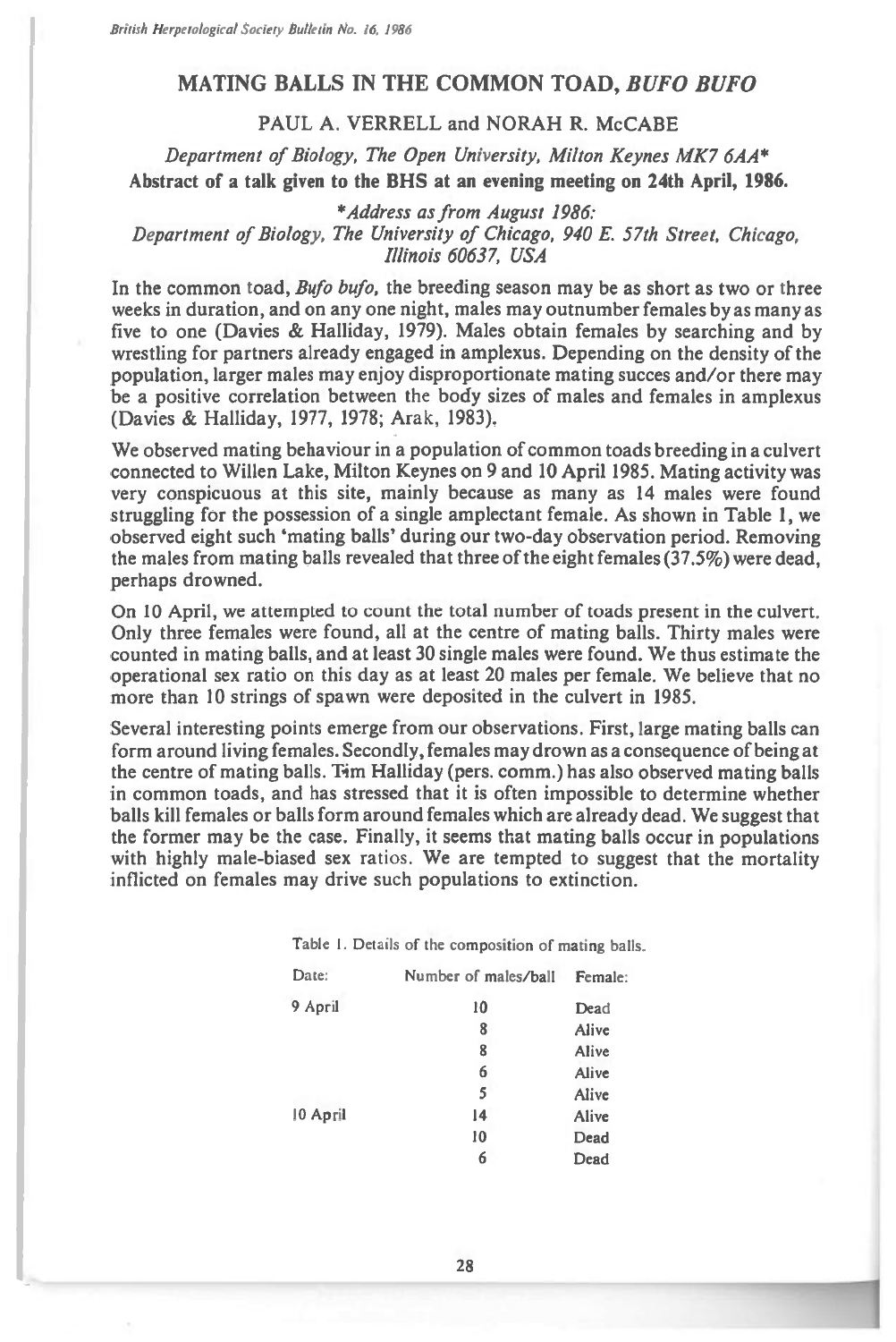## **MATING BALLS IN THE COMMON TOAD,** *BUFO BUFO*

## **PAUL A. VERRELL and NORAH R. McCABE**

*Department of Biology, The Open University, Milton Keynes MK7 6AA\**  **Abstract of a talk given to the BHS at an evening meeting on 24th April, 1986.** 

## *\*Address as from August 1986: Department of Biology, The University of Chicago, 940 E. 57th Street, Chicago, Illinois 60637, USA*

In the common toad, *Bufo bufo,* the breeding season may be as short as two or three weeks in duration, and on any one night, males may outnumber females by as many as five to one (Davies & Halliday, 1979). Males obtain females by searching and by wrestling for partners already engaged in amplexus. Depending on the density of the population, larger males may enjoy disproportionate mating succes and/or there may be a positive correlation between the body sizes of males and females in amplexus (Davies & Halliday, 1977, 1978; Arak, 1983).

We observed mating behaviour in a population of common toads breeding in a culvert connected to Willen Lake, Milton Keynes on 9 and 10 April 1985. Mating activity was very conspicuous at this site, mainly because as many as 14 males were found struggling for the possession of a single amplectant female. As shown in Table 1, we observed eight such 'mating balls' during our two-day observation period. Removing the males from mating balls revealed that three of the eight females (37.5%) were dead, perhaps drowned.

On 10 April, we attempted to count the total number of toads present in the culvert. Only three females were found, all at the centre of mating balls. Thirty males were counted in mating balls, and at least 30 single males were found. We thus estimate the operational sex ratio on this day as at least 20 males per female. We believe that no more than 10 strings of spawn were deposited in the culvert in 1985.

Several interesting points emerge from our observations. First, large mating balls can form around living females. Secondly, females may drown as a consequence of being at the centre of mating balls. Tim Halliday (pers. comm.) has also observed mating balls in common toads, and has stressed that it is often impossible to determine whether balls kill females or balls form around females which are already dead. We suggest that the former may be the case. Finally, it seems that mating balls occur in populations with highly male-biased sex ratios. We are tempted to suggest that the mortality inflicted on females may drive such populations to extinction.

|          | Table 1. Details of the composition of mating balls. |         |
|----------|------------------------------------------------------|---------|
| Date:    | Number of males/ball                                 | Female: |
| 9 April  | 10                                                   | Dead    |
|          | 8                                                    | Alive   |
|          | 8                                                    | Alive   |
|          | 6                                                    | Alive   |
|          | 5                                                    | Alive   |
| 10 April | 14                                                   | Alive   |
|          | 10                                                   | Dead    |
|          | 6                                                    | Dead    |